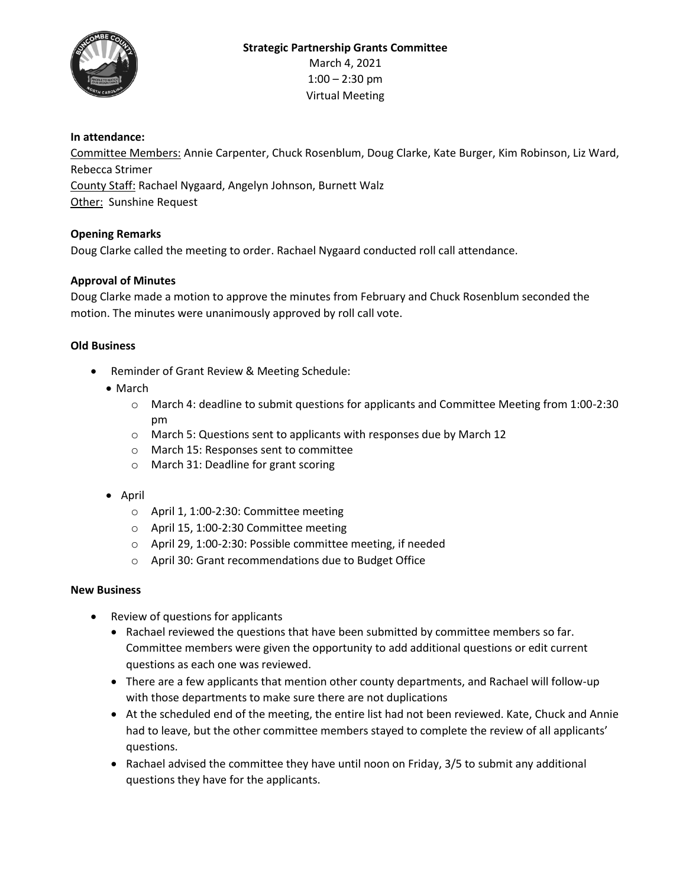

### **In attendance:**

Committee Members: Annie Carpenter, Chuck Rosenblum, Doug Clarke, Kate Burger, Kim Robinson, Liz Ward, Rebecca Strimer County Staff: Rachael Nygaard, Angelyn Johnson, Burnett Walz Other: Sunshine Request

# **Opening Remarks**

Doug Clarke called the meeting to order. Rachael Nygaard conducted roll call attendance.

# **Approval of Minutes**

Doug Clarke made a motion to approve the minutes from February and Chuck Rosenblum seconded the motion. The minutes were unanimously approved by roll call vote.

### **Old Business**

- Reminder of Grant Review & Meeting Schedule:
	- March
		- o March 4: deadline to submit questions for applicants and Committee Meeting from 1:00-2:30 pm
		- o March 5: Questions sent to applicants with responses due by March 12
		- o March 15: Responses sent to committee
		- o March 31: Deadline for grant scoring
	- $\bullet$  April
		- o April 1, 1:00-2:30: Committee meeting
		- o April 15, 1:00-2:30 Committee meeting
		- o April 29, 1:00-2:30: Possible committee meeting, if needed
		- o April 30: Grant recommendations due to Budget Office

### **New Business**

- Review of questions for applicants
	- Rachael reviewed the questions that have been submitted by committee members so far. Committee members were given the opportunity to add additional questions or edit current questions as each one was reviewed.
	- There are a few applicants that mention other county departments, and Rachael will follow-up with those departments to make sure there are not duplications
	- At the scheduled end of the meeting, the entire list had not been reviewed. Kate, Chuck and Annie had to leave, but the other committee members stayed to complete the review of all applicants' questions.
	- Rachael advised the committee they have until noon on Friday, 3/5 to submit any additional questions they have for the applicants.